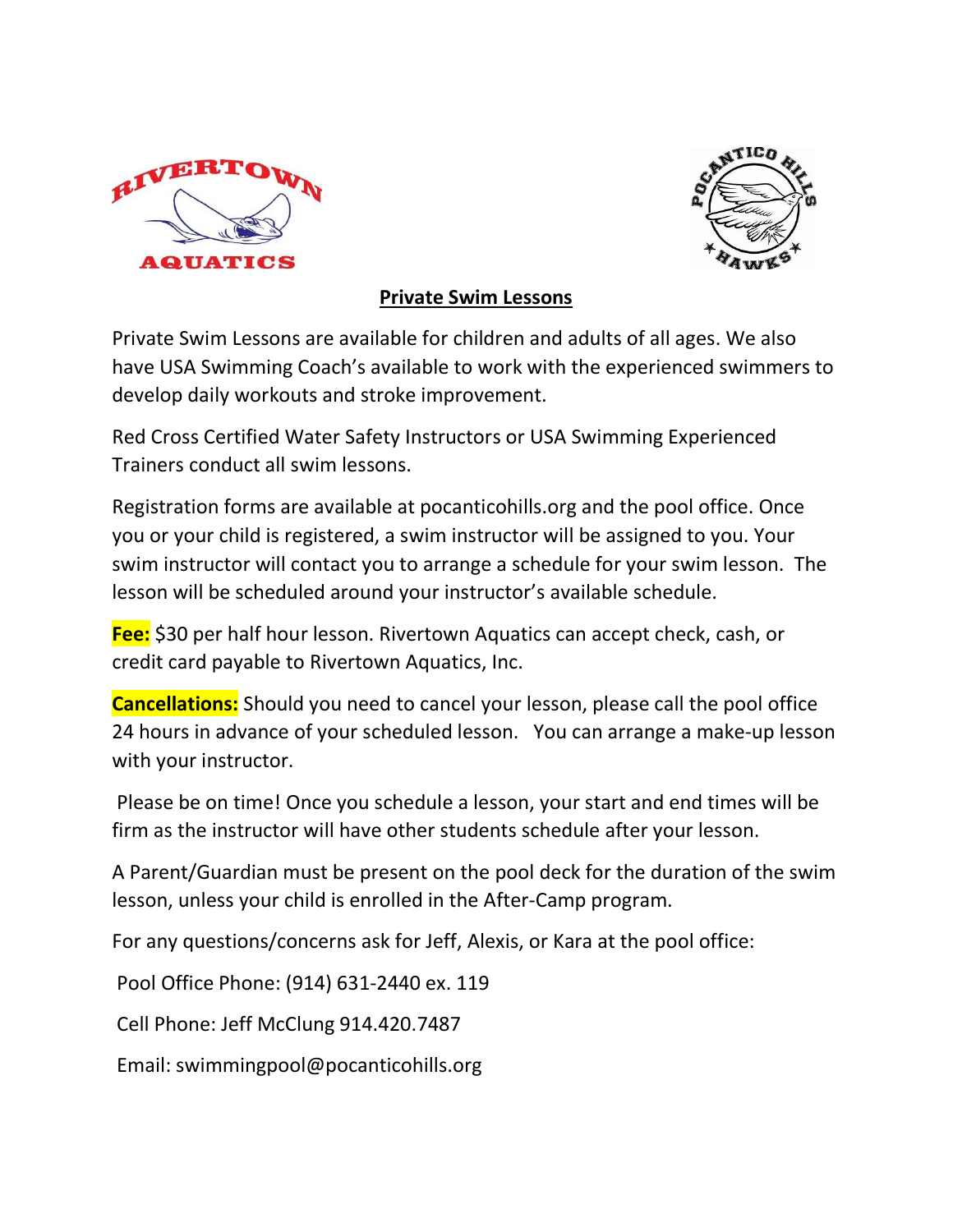



## Private Swim Lessons

Private Swim Lessons are available for children and adults of all ages. We also have USA Swimming Coach's available to work with the experienced swimmers to develop daily workouts and stroke improvement.

Red Cross Certified Water Safety Instructors or USA Swimming Experienced Trainers conduct all swim lessons.

Registration forms are available at pocanticohills.org and the pool office. Once you or your child is registered, a swim instructor will be assigned to you. Your swim instructor will contact you to arrange a schedule for your swim lesson. The lesson will be scheduled around your instructor's available schedule.

**Fee:** \$30 per half hour lesson. Rivertown Aquatics can accept check, cash, or credit card payable to Rivertown Aquatics, Inc.

Cancellations: Should you need to cancel your lesson, please call the pool office 24 hours in advance of your scheduled lesson. You can arrange a make-up lesson with your instructor.

 Please be on time! Once you schedule a lesson, your start and end times will be firm as the instructor will have other students schedule after your lesson.

A Parent/Guardian must be present on the pool deck for the duration of the swim lesson, unless your child is enrolled in the After-Camp program.

For any questions/concerns ask for Jeff, Alexis, or Kara at the pool office:

Pool Office Phone: (914) 631-2440 ex. 119

Cell Phone: Jeff McClung 914.420.7487

Email: swimmingpool@pocanticohills.org